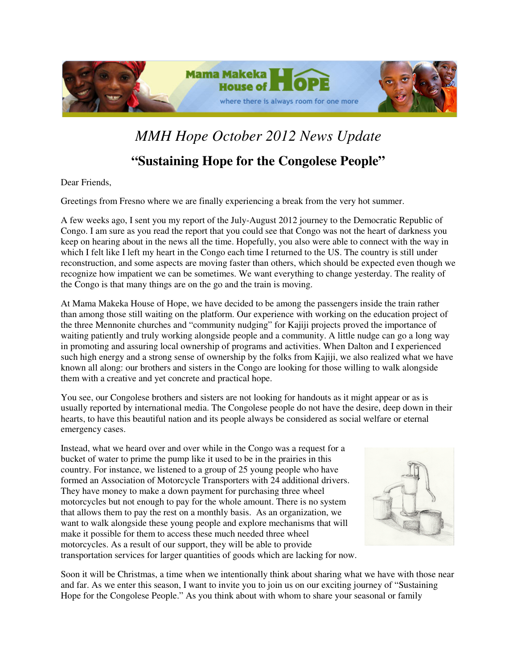

## *MMH Hope October 2012 News Update*

## **"Sustaining Hope for the Congolese People"**

Dear Friends,

Greetings from Fresno where we are finally experiencing a break from the very hot summer.

A few weeks ago, I sent you my report of the July-August 2012 journey to the Democratic Republic of Congo. I am sure as you read the report that you could see that Congo was not the heart of darkness you keep on hearing about in the news all the time. Hopefully, you also were able to connect with the way in which I felt like I left my heart in the Congo each time I returned to the US. The country is still under reconstruction, and some aspects are moving faster than others, which should be expected even though we recognize how impatient we can be sometimes. We want everything to change yesterday. The reality of the Congo is that many things are on the go and the train is moving.

At Mama Makeka House of Hope, we have decided to be among the passengers inside the train rather than among those still waiting on the platform. Our experience with working on the education project of the three Mennonite churches and "community nudging" for Kajiji projects proved the importance of waiting patiently and truly working alongside people and a community. A little nudge can go a long way in promoting and assuring local ownership of programs and activities. When Dalton and I experienced such high energy and a strong sense of ownership by the folks from Kajiji, we also realized what we have known all along: our brothers and sisters in the Congo are looking for those willing to walk alongside them with a creative and yet concrete and practical hope.

You see, our Congolese brothers and sisters are not looking for handouts as it might appear or as is usually reported by international media. The Congolese people do not have the desire, deep down in their hearts, to have this beautiful nation and its people always be considered as social welfare or eternal emergency cases.

Instead, what we heard over and over while in the Congo was a request for a bucket of water to prime the pump like it used to be in the prairies in this country. For instance, we listened to a group of 25 young people who have formed an Association of Motorcycle Transporters with 24 additional drivers. They have money to make a down payment for purchasing three wheel motorcycles but not enough to pay for the whole amount. There is no system that allows them to pay the rest on a monthly basis. As an organization, we want to walk alongside these young people and explore mechanisms that will make it possible for them to access these much needed three wheel motorcycles. As a result of our support, they will be able to provide transportation services for larger quantities of goods which are lacking for now.



Soon it will be Christmas, a time when we intentionally think about sharing what we have with those near and far. As we enter this season, I want to invite you to join us on our exciting journey of "Sustaining Hope for the Congolese People." As you think about with whom to share your seasonal or family